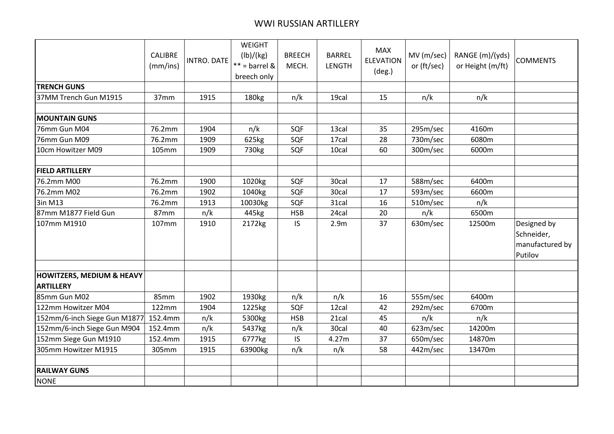## WWI RUSSIAN ARTILLERY

|                                      | <b>CALIBRE</b><br>(mm/ins) | INTRO. DATE | <b>WEIGHT</b><br>(lb)/(kg)<br>$**$ = barrel &<br>breech only | <b>BREECH</b><br>MECH. | <b>BARREL</b><br><b>LENGTH</b> | <b>MAX</b><br><b>ELEVATION</b><br>$(\text{deg.})$ | MV (m/sec)<br>or (ft/sec) | RANGE (m)/(yds)<br>or Height (m/ft) | <b>COMMENTS</b>                                         |
|--------------------------------------|----------------------------|-------------|--------------------------------------------------------------|------------------------|--------------------------------|---------------------------------------------------|---------------------------|-------------------------------------|---------------------------------------------------------|
| <b>TRENCH GUNS</b>                   |                            |             |                                                              |                        |                                |                                                   |                           |                                     |                                                         |
| 37MM Trench Gun M1915                | 37mm                       | 1915        | 180 <sub>kg</sub>                                            | n/k                    | 19cal                          | 15                                                | n/k                       | n/k                                 |                                                         |
| <b>MOUNTAIN GUNS</b>                 |                            |             |                                                              |                        |                                |                                                   |                           |                                     |                                                         |
| 76mm Gun M04                         | 76.2mm                     | 1904        | n/k                                                          | SQF                    | 13cal                          | 35                                                | 295m/sec                  | 4160m                               |                                                         |
| 76mm Gun M09                         | 76.2mm                     | 1909        | 625kg                                                        | SQF                    | 17cal                          | 28                                                | 730m/sec                  | 6080m                               |                                                         |
| 10cm Howitzer M09                    | 105mm                      | 1909        | 730kg                                                        | SQF                    | 10cal                          | 60                                                | 300m/sec                  | 6000m                               |                                                         |
|                                      |                            |             |                                                              |                        |                                |                                                   |                           |                                     |                                                         |
| <b>FIELD ARTILLERY</b><br>76.2mm M00 | 76.2mm                     |             |                                                              |                        |                                | 17                                                |                           | 6400m                               |                                                         |
|                                      |                            | 1900        | 1020kg                                                       | SQF                    | 30cal                          |                                                   | 588m/sec                  |                                     |                                                         |
| 76.2mm M02                           | 76.2mm                     | 1902        | 1040kg                                                       | SQF                    | 30cal                          | 17                                                | 593m/sec                  | 6600m                               |                                                         |
| 3in M13                              | 76.2mm                     | 1913        | 10030kg                                                      | SQF                    | 31cal                          | 16                                                | 510m/sec                  | n/k                                 |                                                         |
| 87mm M1877 Field Gun                 | 87mm                       | n/k         | 445kg                                                        | <b>HSB</b>             | 24cal                          | 20                                                | n/k                       | 6500m                               |                                                         |
| 107mm M1910                          | 107mm                      | 1910        | 2172kg                                                       | IS.                    | 2.9 <sub>m</sub>               | 37                                                | 630m/sec                  | 12500m                              | Designed by<br>Schneider,<br>manufactured by<br>Putilov |
| <b>HOWITZERS, MEDIUM &amp; HEAVY</b> |                            |             |                                                              |                        |                                |                                                   |                           |                                     |                                                         |
| <b>ARTILLERY</b>                     |                            |             |                                                              |                        |                                |                                                   |                           |                                     |                                                         |
| 85mm Gun M02                         | 85mm                       | 1902        | 1930kg                                                       | n/k                    | n/k                            | 16                                                | 555m/sec                  | 6400m                               |                                                         |
| 122mm Howitzer M04                   | 122mm                      | 1904        | 1225kg                                                       | SQF                    | 12cal                          | 42                                                | 292m/sec                  | 6700m                               |                                                         |
| 152mm/6-inch Siege Gun M1877         | 152.4mm                    | n/k         | 5300kg                                                       | <b>HSB</b>             | 21cal                          | 45                                                | n/k                       | n/k                                 |                                                         |
| 152mm/6-inch Siege Gun M904          | 152.4mm                    | n/k         | 5437kg                                                       | n/k                    | 30cal                          | 40                                                | 623m/sec                  | 14200m                              |                                                         |
| 152mm Siege Gun M1910                | 152.4mm                    | 1915        | 6777kg                                                       | <b>IS</b>              | 4.27m                          | 37                                                | 650m/sec                  | 14870m                              |                                                         |
| 305mm Howitzer M1915                 | 305mm                      | 1915        | 63900kg                                                      | n/k                    | n/k                            | 58                                                | 442m/sec                  | 13470m                              |                                                         |
| <b>RAILWAY GUNS</b>                  |                            |             |                                                              |                        |                                |                                                   |                           |                                     |                                                         |
| <b>NONE</b>                          |                            |             |                                                              |                        |                                |                                                   |                           |                                     |                                                         |